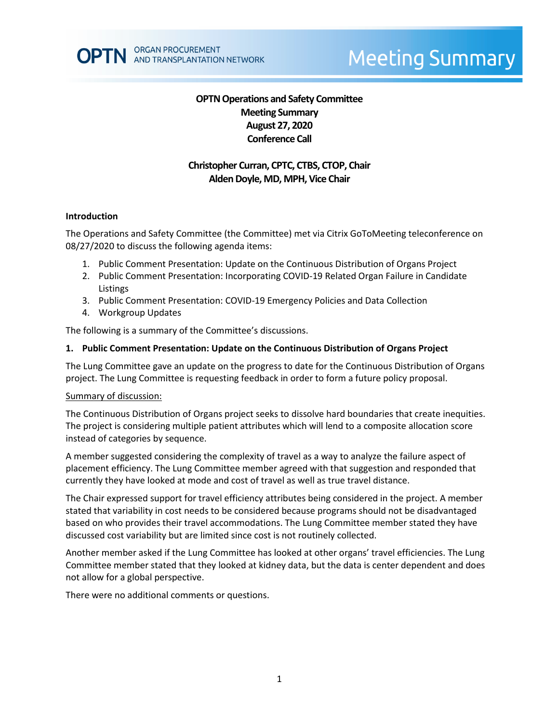# **OPTN Operations and Safety Committee Meeting Summary August 27, 2020 Conference Call**

# **Christopher Curran, CPTC, CTBS, CTOP, Chair Alden Doyle, MD, MPH, Vice Chair**

#### **Introduction**

The Operations and Safety Committee (the Committee) met via Citrix GoToMeeting teleconference on 08/27/2020 to discuss the following agenda items:

- 1. Public Comment Presentation: Update on the Continuous Distribution of Organs Project
- 2. Public Comment Presentation: Incorporating COVID-19 Related Organ Failure in Candidate Listings
- 3. Public Comment Presentation: COVID-19 Emergency Policies and Data Collection
- 4. Workgroup Updates

The following is a summary of the Committee's discussions.

#### **1. Public Comment Presentation: Update on the Continuous Distribution of Organs Project**

The Lung Committee gave an update on the progress to date for the Continuous Distribution of Organs project. The Lung Committee is requesting feedback in order to form a future policy proposal.

#### Summary of discussion:

The Continuous Distribution of Organs project seeks to dissolve hard boundaries that create inequities. The project is considering multiple patient attributes which will lend to a composite allocation score instead of categories by sequence.

A member suggested considering the complexity of travel as a way to analyze the failure aspect of placement efficiency. The Lung Committee member agreed with that suggestion and responded that currently they have looked at mode and cost of travel as well as true travel distance.

The Chair expressed support for travel efficiency attributes being considered in the project. A member stated that variability in cost needs to be considered because programs should not be disadvantaged based on who provides their travel accommodations. The Lung Committee member stated they have discussed cost variability but are limited since cost is not routinely collected.

Another member asked if the Lung Committee has looked at other organs' travel efficiencies. The Lung Committee member stated that they looked at kidney data, but the data is center dependent and does not allow for a global perspective.

There were no additional comments or questions.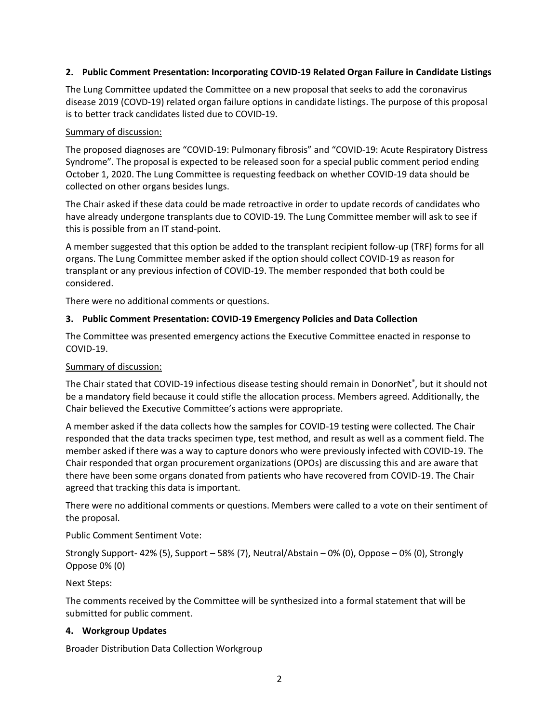## **2. Public Comment Presentation: Incorporating COVID-19 Related Organ Failure in Candidate Listings**

The Lung Committee updated the Committee on a new proposal that seeks to add the coronavirus disease 2019 (COVD-19) related organ failure options in candidate listings. The purpose of this proposal is to better track candidates listed due to COVID-19.

### Summary of discussion:

The proposed diagnoses are "COVID-19: Pulmonary fibrosis" and "COVID-19: Acute Respiratory Distress Syndrome". The proposal is expected to be released soon for a special public comment period ending October 1, 2020. The Lung Committee is requesting feedback on whether COVID-19 data should be collected on other organs besides lungs.

The Chair asked if these data could be made retroactive in order to update records of candidates who have already undergone transplants due to COVID-19. The Lung Committee member will ask to see if this is possible from an IT stand-point.

A member suggested that this option be added to the transplant recipient follow-up (TRF) forms for all organs. The Lung Committee member asked if the option should collect COVID-19 as reason for transplant or any previous infection of COVID-19. The member responded that both could be considered.

There were no additional comments or questions.

# **3. Public Comment Presentation: COVID-19 Emergency Policies and Data Collection**

The Committee was presented emergency actions the Executive Committee enacted in response to COVID-19.

## Summary of discussion:

The Chair stated that COVID-19 infectious disease testing should remain in DonorNet®, but it should not be a mandatory field because it could stifle the allocation process. Members agreed. Additionally, the Chair believed the Executive Committee's actions were appropriate.

A member asked if the data collects how the samples for COVID-19 testing were collected. The Chair responded that the data tracks specimen type, test method, and result as well as a comment field. The member asked if there was a way to capture donors who were previously infected with COVID-19. The Chair responded that organ procurement organizations (OPOs) are discussing this and are aware that there have been some organs donated from patients who have recovered from COVID-19. The Chair agreed that tracking this data is important.

There were no additional comments or questions. Members were called to a vote on their sentiment of the proposal.

Public Comment Sentiment Vote:

Strongly Support- 42% (5), Support – 58% (7), Neutral/Abstain – 0% (0), Oppose – 0% (0), Strongly Oppose 0% (0)

Next Steps:

The comments received by the Committee will be synthesized into a formal statement that will be submitted for public comment.

# **4. Workgroup Updates**

Broader Distribution Data Collection Workgroup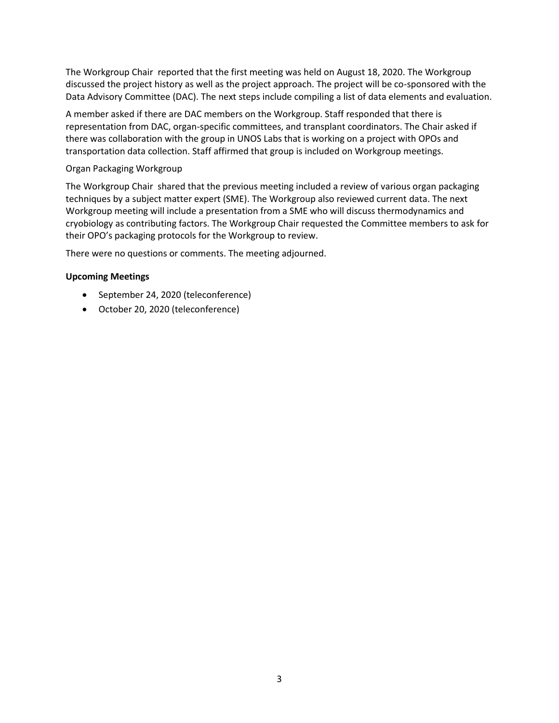The Workgroup Chair reported that the first meeting was held on August 18, 2020. The Workgroup discussed the project history as well as the project approach. The project will be co-sponsored with the Data Advisory Committee (DAC). The next steps include compiling a list of data elements and evaluation.

A member asked if there are DAC members on the Workgroup. Staff responded that there is representation from DAC, organ-specific committees, and transplant coordinators. The Chair asked if there was collaboration with the group in UNOS Labs that is working on a project with OPOs and transportation data collection. Staff affirmed that group is included on Workgroup meetings.

## Organ Packaging Workgroup

The Workgroup Chair shared that the previous meeting included a review of various organ packaging techniques by a subject matter expert (SME). The Workgroup also reviewed current data. The next Workgroup meeting will include a presentation from a SME who will discuss thermodynamics and cryobiology as contributing factors. The Workgroup Chair requested the Committee members to ask for their OPO's packaging protocols for the Workgroup to review.

There were no questions or comments. The meeting adjourned.

### **Upcoming Meetings**

- September 24, 2020 (teleconference)
- October 20, 2020 (teleconference)